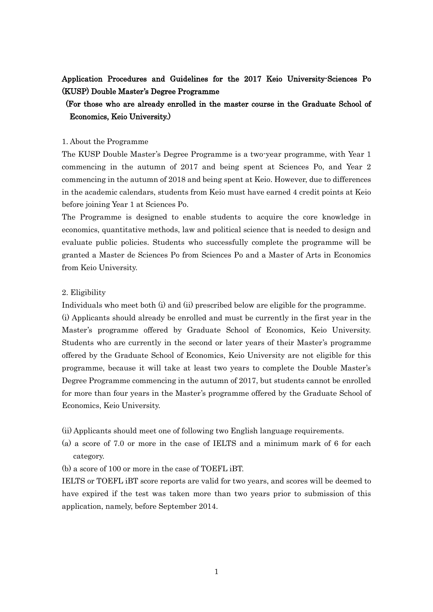# Application Procedures and Guidelines for the 2017 Keio University-Sciences Po (KUSP) Double Master's Degree Programme

# (For those who are already enrolled in the master course in the Graduate School of Economics, Keio University.)

#### 1. About the Programme

The KUSP Double Master's Degree Programme is a two-year programme, with Year 1 commencing in the autumn of 2017 and being spent at Sciences Po, and Year 2 commencing in the autumn of 2018 and being spent at Keio. However, due to differences in the academic calendars, students from Keio must have earned 4 credit points at Keio before joining Year 1 at Sciences Po.

The Programme is designed to enable students to acquire the core knowledge in economics, quantitative methods, law and political science that is needed to design and evaluate public policies. Students who successfully complete the programme will be granted a Master de Sciences Po from Sciences Po and a Master of Arts in Economics from Keio University.

#### 2. Eligibility

Individuals who meet both (i) and (ii) prescribed below are eligible for the programme.

(i) Applicants should already be enrolled and must be currently in the first year in the Master's programme offered by Graduate School of Economics, Keio University. Students who are currently in the second or later years of their Master's programme offered by the Graduate School of Economics, Keio University are not eligible for this programme, because it will take at least two years to complete the Double Master's Degree Programme commencing in the autumn of 2017, but students cannot be enrolled for more than four years in the Master's programme offered by the Graduate School of Economics, Keio University.

(ii) Applicants should meet one of following two English language requirements.

- (a) a score of 7.0 or more in the case of IELTS and a minimum mark of 6 for each category.
- (b) a score of 100 or more in the case of TOEFL iBT.

IELTS or TOEFL iBT score reports are valid for two years, and scores will be deemed to have expired if the test was taken more than two years prior to submission of this application, namely, before September 2014.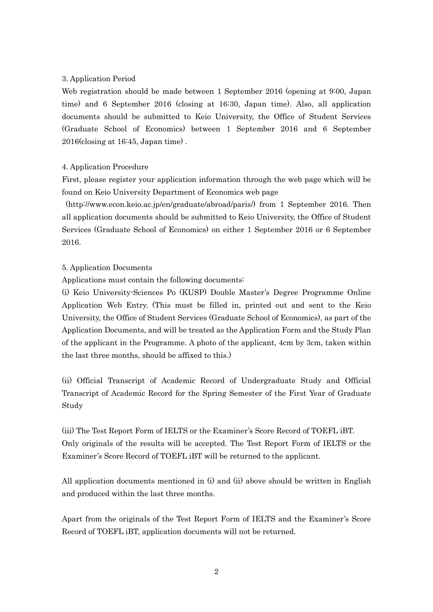### 3. Application Period

Web registration should be made between 1 September 2016 (opening at 9:00, Japan time) and 6 September 2016 (closing at 16:30, Japan time). Also, all application documents should be submitted to Keio University, the Office of Student Services (Graduate School of Economics) between 1 September 2016 and 6 September 2016(closing at 16:45, Japan time) .

### 4. Application Procedure

First, please register your application information through the web page which will be found on Keio University Department of Economics web page

(http://www.econ.keio.ac.jp/en/graduate/abroad/paris/) from 1 September 2016. Then all application documents should be submitted to Keio University, the Office of Student Services (Graduate School of Economics) on either 1 September 2016 or 6 September 2016.

### 5. Application Documents

Applications must contain the following documents:

(i) Keio University-Sciences Po (KUSP) Double Master's Degree Programme Online Application Web Entry. (This must be filled in, printed out and sent to the Keio University, the Office of Student Services (Graduate School of Economics), as part of the Application Documents, and will be treated as the Application Form and the Study Plan of the applicant in the Programme. A photo of the applicant, 4cm by 3cm, taken within the last three months, should be affixed to this.)

(ii) Official Transcript of Academic Record of Undergraduate Study and Official Transcript of Academic Record for the Spring Semester of the First Year of Graduate Study

(iii) The Test Report Form of IELTS or the Examiner's Score Record of TOEFL iBT. Only originals of the results will be accepted. The Test Report Form of IELTS or the Examiner's Score Record of TOEFL iBT will be returned to the applicant.

All application documents mentioned in (i) and (ii) above should be written in English and produced within the last three months.

Apart from the originals of the Test Report Form of IELTS and the Examiner's Score Record of TOEFL iBT, application documents will not be returned.